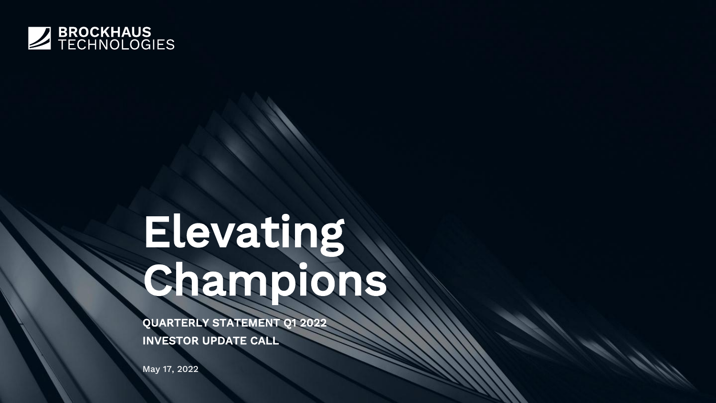

# Elevating Champions

QUARTERLY STATEMENT Q1 2022 INVESTOR UPDATE CALL

May 17, 2022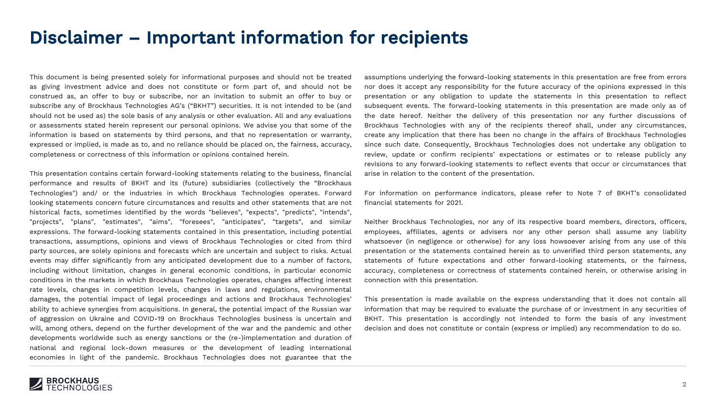#### Disclaimer – Important information for recipients

This document is being presented solely for informational purposes and should not be treated as giving investment advice and does not constitute or form part of, and should not be construed as, an offer to buy or subscribe, nor an invitation to submit an offer to buy or subscribe any of Brockhaus Technologies AG's ("BKHT") securities. It is not intended to be (and should not be used as) the sole basis of any analysis or other evaluation. All and any evaluations or assessments stated herein represent our personal opinions. We advise you that some of the information is based on statements by third persons, and that no representation or warranty, expressed or implied, is made as to, and no reliance should be placed on, the fairness, accuracy, completeness or correctness of this information or opinions contained herein.

This presentation contains certain forward-looking statements relating to the business, financial performance and results of BKHT and its (future) subsidiaries (collectively the "Brockhaus Technologies") and/ or the industries in which Brockhaus Technologies operates. Forward looking statements concern future circumstances and results and other statements that are not historical facts, sometimes identified by the words "believes", "expects", "predicts", "intends", "projects", "plans", "estimates", "aims", "foresees", "anticipates", "targets", and similar expressions. The forward-looking statements contained in this presentation, including potential transactions, assumptions, opinions and views of Brockhaus Technologies or cited from third party sources, are solely opinions and forecasts which are uncertain and subject to risks. Actual events may differ significantly from any anticipated development due to a number of factors, including without limitation, changes in general economic conditions, in particular economic conditions in the markets in which Brockhaus Technologies operates, changes affecting interest rate levels, changes in competition levels, changes in laws and regulations, environmental damages, the potential impact of legal proceedings and actions and Brockhaus Technologies' ability to achieve synergies from acquisitions. In general, the potential impact of the Russian war of aggression on Ukraine and COVID-19 on Brockhaus Technologies business is uncertain and will, among others, depend on the further development of the war and the pandemic and other developments worldwide such as energy sanctions or the (re-)implementation and duration of national and regional lock-down measures or the development of leading international economies in light of the pandemic. Brockhaus Technologies does not guarantee that the

assumptions underlying the forward-looking statements in this presentation are free from errors nor does it accept any responsibility for the future accuracy of the opinions expressed in this presentation or any obligation to update the statements in this presentation to reflect subsequent events. The forward-looking statements in this presentation are made only as of the date hereof. Neither the delivery of this presentation nor any further discussions of Brockhaus Technologies with any of the recipients thereof shall, under any circumstances, create any implication that there has been no change in the affairs of Brockhaus Technologies since such date. Consequently, Brockhaus Technologies does not undertake any obligation to review, update or confirm recipients' expectations or estimates or to release publicly any revisions to any forward-looking statements to reflect events that occur or circumstances that arise in relation to the content of the presentation.

For information on performance indicators, please refer to Note 7 of BKHT's consolidated financial statements for 2021.

Neither Brockhaus Technologies, nor any of its respective board members, directors, officers, employees, affiliates, agents or advisers nor any other person shall assume any liability whatsoever (in negligence or otherwise) for any loss howsoever arising from any use of this presentation or the statements contained herein as to unverified third person statements, any statements of future expectations and other forward-looking statements, or the fairness, accuracy, completeness or correctness of statements contained herein, or otherwise arising in connection with this presentation.

This presentation is made available on the express understanding that it does not contain all information that may be required to evaluate the purchase of or investment in any securities of BKHT. This presentation is accordingly not intended to form the basis of any investment decision and does not constitute or contain (express or implied) any recommendation to do so.

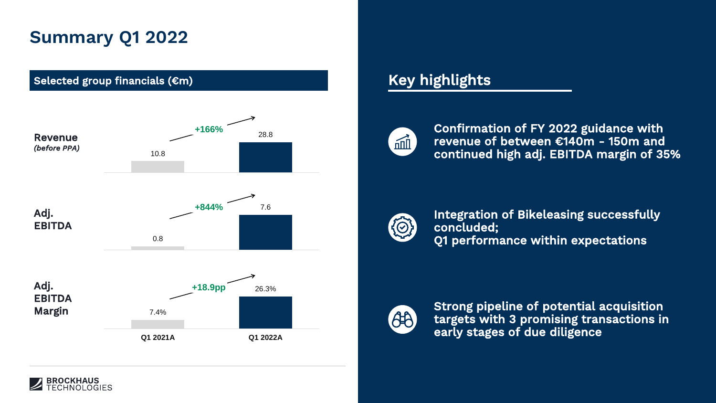## **Summary Q1 2022**



#### Key highlights



Confirmation of FY 2022 guidance with revenue of between €140m - 150m and continued high adj. EBITDA margin of 35%



Integration of Bikeleasing successfully concluded; Q1 performance within expectations



Strong pipeline of potential acquisition targets with 3 promising transactions in early stages of due diligence

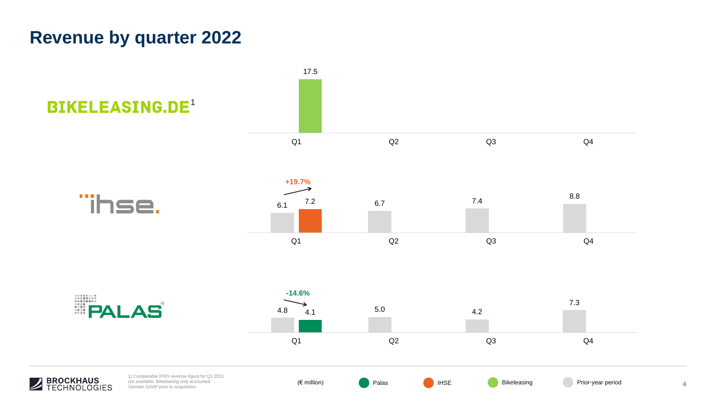## **Revenue by quarter 2022**

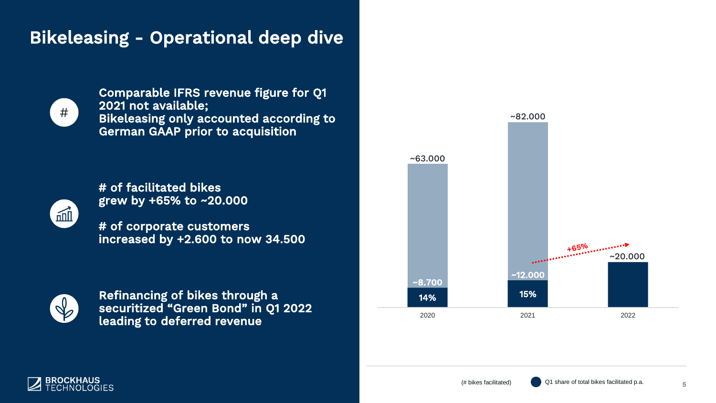## Bikeleasing - Operational deep dive



Comparable IFRS revenue figure for Q1 2021 not available; Bikeleasing only accounted according to German GAAP prior to acquisition



# of facilitated bikes grew by +65% to ~20.000

# of corporate customers increased by +2.600 to now 34.500



Refinancing of bikes through a securitized "Green Bond" in Q1 2022 leading to deferred revenue





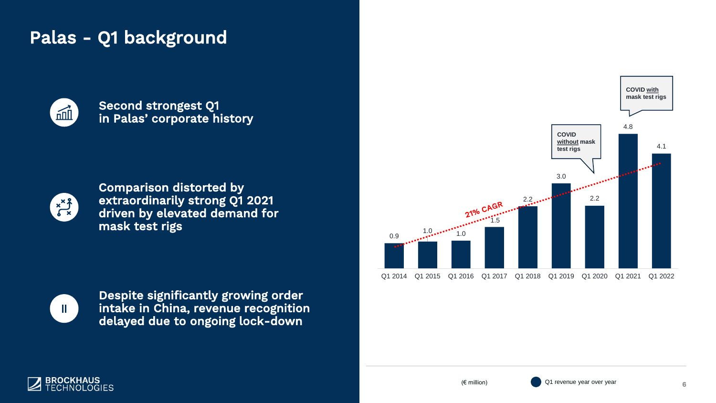## Palas - Q1 background



Second strongest Q1 in Palas' corporate history



Comparison distorted by extraordinarily strong Q1 2021 driven by elevated demand for mask test rigs



Despite significantly growing order intake in China, revenue recognition delayed due to ongoing lock-down





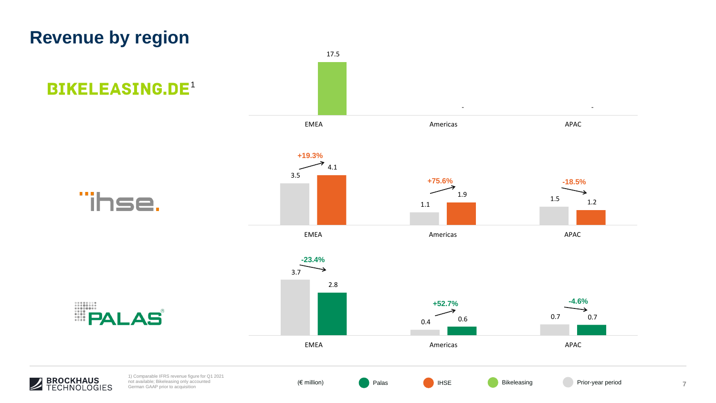## **Revenue by region**

 $\boldsymbol{Z}$ 

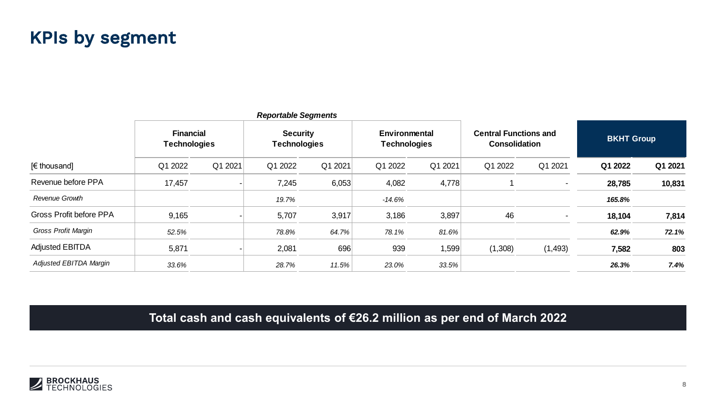#### KPIs by segment

| <b>Reportable Segments</b> |                                         |         |                                        |         |                                      |         |                                                      |          |                   |         |
|----------------------------|-----------------------------------------|---------|----------------------------------------|---------|--------------------------------------|---------|------------------------------------------------------|----------|-------------------|---------|
| [€ thousand]               | <b>Financial</b><br><b>Technologies</b> |         | <b>Security</b><br><b>Technologies</b> |         | Environmental<br><b>Technologies</b> |         | <b>Central Functions and</b><br><b>Consolidation</b> |          | <b>BKHT Group</b> |         |
|                            | Q1 2022                                 | Q1 2021 | Q1 2022                                | Q1 2021 | Q1 2022                              | Q1 2021 | Q1 2022                                              | Q1 2021  | Q1 2022           | Q1 2021 |
| Revenue before PPA         | 17,457                                  |         | 7,245                                  | 6,053   | 4,082                                | 4,778   |                                                      |          | 28,785            | 10,831  |
| Revenue Growth             |                                         |         | 19.7%                                  |         | $-14.6%$                             |         |                                                      |          | 165.8%            |         |
| Gross Profit before PPA    | 9,165                                   |         | 5,707                                  | 3,917   | 3,186                                | 3,897   | 46                                                   |          | 18,104            | 7,814   |
| Gross Profit Margin        | 52.5%                                   |         | 78.8%                                  | 64.7%   | 78.1%                                | 81.6%   |                                                      |          | 62.9%             | 72.1%   |
| <b>Adjusted EBITDA</b>     | 5,871                                   |         | 2,081                                  | 696     | 939                                  | 1,599   | (1,308)                                              | (1, 493) | 7,582             | 803     |
| Adjusted EBITDA Margin     | 33.6%                                   |         | 28.7%                                  | 11.5%   | 23.0%                                | 33.5%   |                                                      |          | 26.3%             | 7.4%    |

**Total cash and cash equivalents of €26.2 million as per end of March 2022**

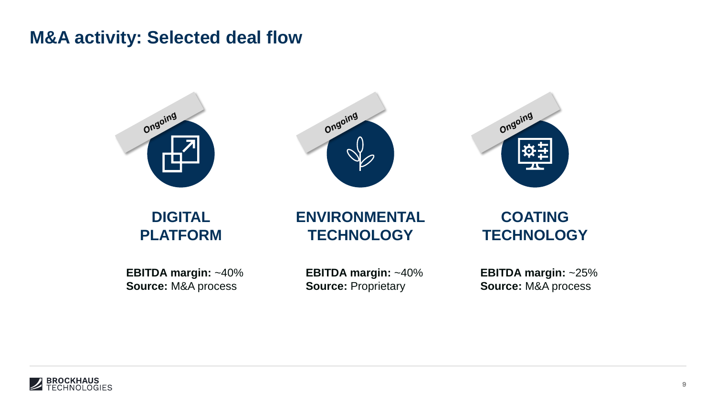#### **M&A activity: Selected deal flow**







**DIGITAL PLATFORM**

#### **ENVIRONMENTAL TECHNOLOGY**

**EBITDA margin:** ~40% **Source:** M&A process

**EBITDA margin:** ~40% **Source:** Proprietary

**COATING TECHNOLOGY**

**EBITDA margin:** ~25% **Source:** M&A process

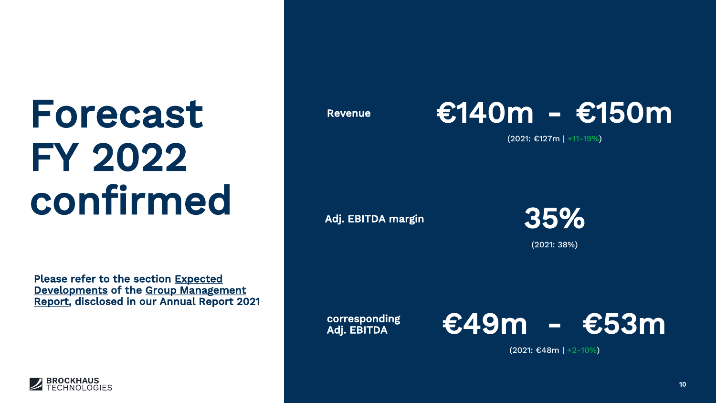## Forecast Revenue FY 2022 confirmed



(2021: €127m | +11-19%)

Adj. EBITDA margin



(2021: 38%)

Please refer to the section Expected Developments of the Group Management Report, disclosed in our Annual Report 2021

> corresponding Adj. EBITDA



(2021: €48m | +2-10%)

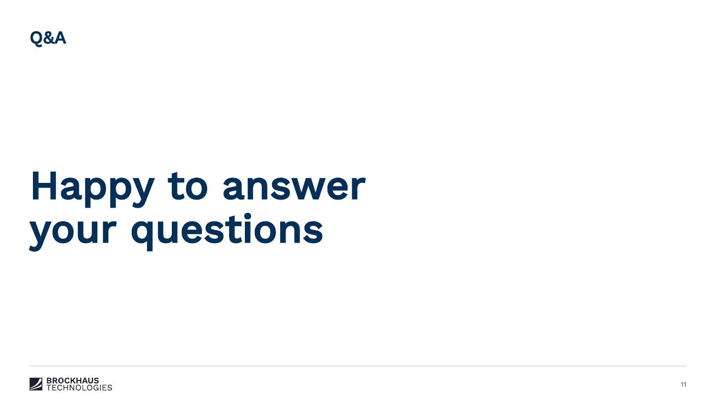

## Happy to answer your questions

Q&A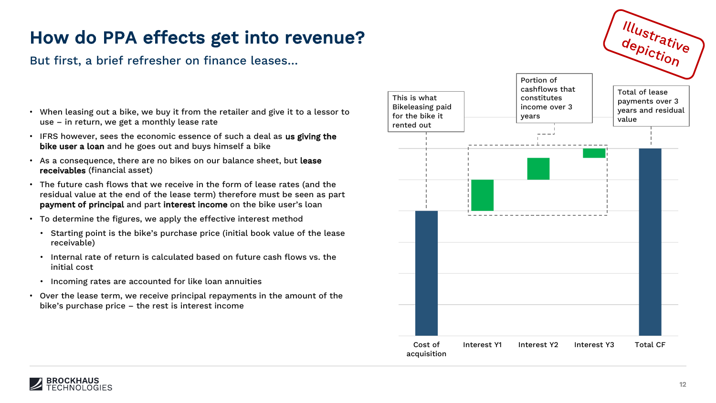But first, a brief refresher on finance leases…

- When leasing out a bike, we buy it from the retailer and give it to a lessor to use – in return, we get a monthly lease rate
- IFRS however, sees the economic essence of such a deal as us giving the bike user a loan and he goes out and buys himself a bike
- As a consequence, there are no bikes on our balance sheet, but lease receivables (financial asset)
- The future cash flows that we receive in the form of lease rates (and the residual value at the end of the lease term) therefore must be seen as part payment of principal and part interest income on the bike user's loan
- To determine the figures, we apply the effective interest method
	- Starting point is the bike's purchase price (initial book value of the lease receivable)
	- Internal rate of return is calculated based on future cash flows vs. the initial cost
	- Incoming rates are accounted for like loan annuities
- Over the lease term, we receive principal repayments in the amount of the bike's purchase price – the rest is interest income





Illustrative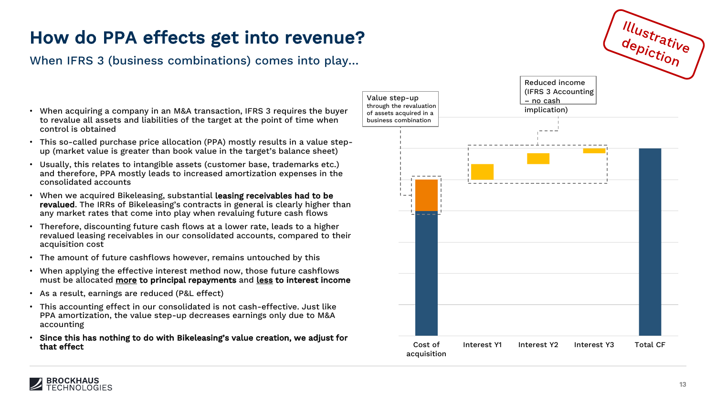When IFRS 3 (business combinations) comes into play…

- When acquiring a company in an M&A transaction, IFRS 3 requires the buyer to revalue all assets and liabilities of the target at the point of time when control is obtained
- This so-called purchase price allocation (PPA) mostly results in a value stepup (market value is greater than book value in the target's balance sheet)
- Usually, this relates to intangible assets (customer base, trademarks etc.) and therefore, PPA mostly leads to increased amortization expenses in the consolidated accounts
- When we acquired Bikeleasing, substantial leasing receivables had to be revalued. The IRRs of Bikeleasing's contracts in general is clearly higher than any market rates that come into play when revaluing future cash flows
- Therefore, discounting future cash flows at a lower rate, leads to a higher revalued leasing receivables in our consolidated accounts, compared to their acquisition cost
- The amount of future cashflows however, remains untouched by this
- When applying the effective interest method now, those future cashflows must be allocated more to principal repayments and less to interest income
- As a result, earnings are reduced (P&L effect)
- This accounting effect in our consolidated is not cash-effective. Just like PPA amortization, the value step-up decreases earnings only due to M&A accounting
- Since this has nothing to do with Bikeleasing's value creation, we adjust for that effect cost of



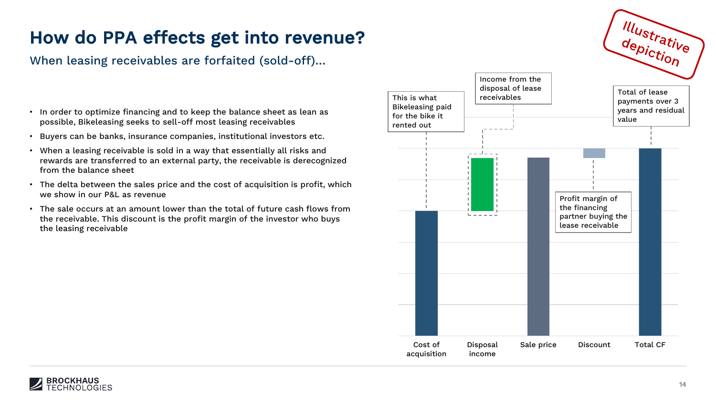When leasing receivables are forfaited (sold-off)…

- In order to optimize financing and to keep the balance sheet as lean as possible, Bikeleasing seeks to sell-off most leasing receivables
- Buyers can be banks, insurance companies, institutional investors etc.
- When a leasing receivable is sold in a way that essentially all risks and rewards are transferred to an external party, the receivable is derecognized from the balance sheet
- The delta between the sales price and the cost of acquisition is profit, which we show in our P&L as revenue
- The sale occurs at an amount lower than the total of future cash flows from the receivable. This discount is the profit margin of the investor who buys the leasing receivable



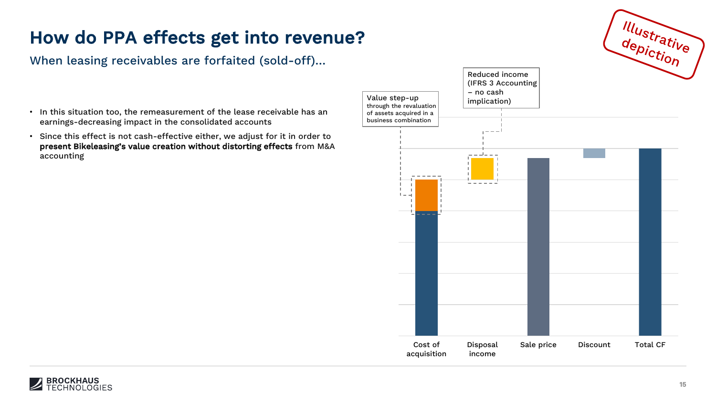When leasing receivables are forfaited (sold-off)…

- In this situation too, the remeasurement of the lease receivable has an earnings-decreasing impact in the consolidated accounts
- Since this effect is not cash-effective either, we adjust for it in order to present Bikeleasing's value creation without distorting effects from M&A accounting